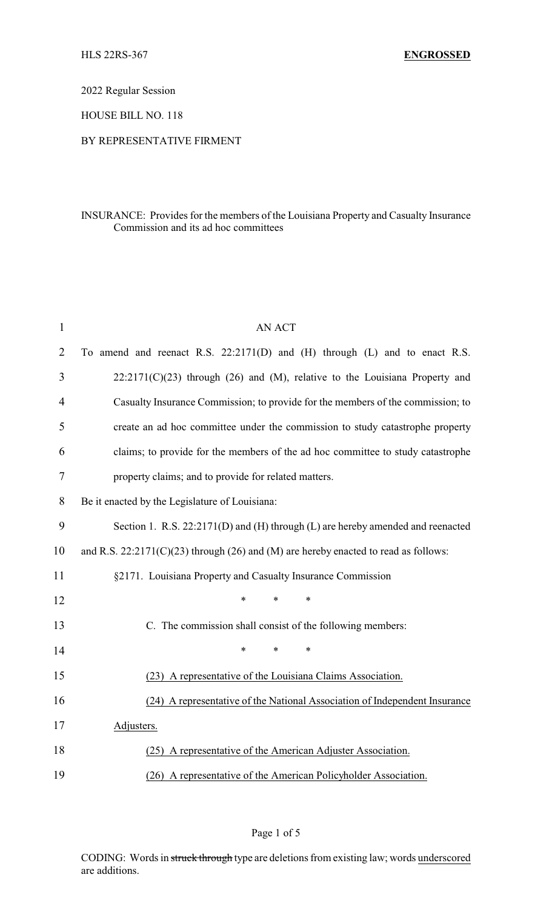2022 Regular Session

HOUSE BILL NO. 118

## BY REPRESENTATIVE FIRMENT

## INSURANCE: Provides for the members of the Louisiana Property and Casualty Insurance Commission and its ad hoc committees

| 1              | <b>AN ACT</b>                                                                         |  |  |
|----------------|---------------------------------------------------------------------------------------|--|--|
| $\overline{2}$ | To amend and reenact R.S. 22:2171(D) and (H) through (L) and to enact R.S.            |  |  |
| 3              | $22:2171(C)(23)$ through (26) and (M), relative to the Louisiana Property and         |  |  |
| $\overline{4}$ | Casualty Insurance Commission; to provide for the members of the commission; to       |  |  |
| 5              | create an ad hoc committee under the commission to study catastrophe property         |  |  |
| 6              | claims; to provide for the members of the ad hoc committee to study catastrophe       |  |  |
| 7              | property claims; and to provide for related matters.                                  |  |  |
| 8              | Be it enacted by the Legislature of Louisiana:                                        |  |  |
| 9              | Section 1. R.S. 22:2171(D) and (H) through (L) are hereby amended and reenacted       |  |  |
| 10             | and R.S. $22:2171(C)(23)$ through (26) and (M) are hereby enacted to read as follows: |  |  |
| 11             | §2171. Louisiana Property and Casualty Insurance Commission                           |  |  |
| 12             | $\ast$<br>$\ast$<br>*                                                                 |  |  |
| 13             | C. The commission shall consist of the following members:                             |  |  |
| 14             | $\ast$<br>*<br>$\ast$                                                                 |  |  |
| 15             | (23) A representative of the Louisiana Claims Association.                            |  |  |
| 16             | (24) A representative of the National Association of Independent Insurance            |  |  |
| 17             | Adjusters.                                                                            |  |  |
| 18             | A representative of the American Adjuster Association.<br>(25)                        |  |  |
| 19             | (26) A representative of the American Policyholder Association.                       |  |  |

Page 1 of 5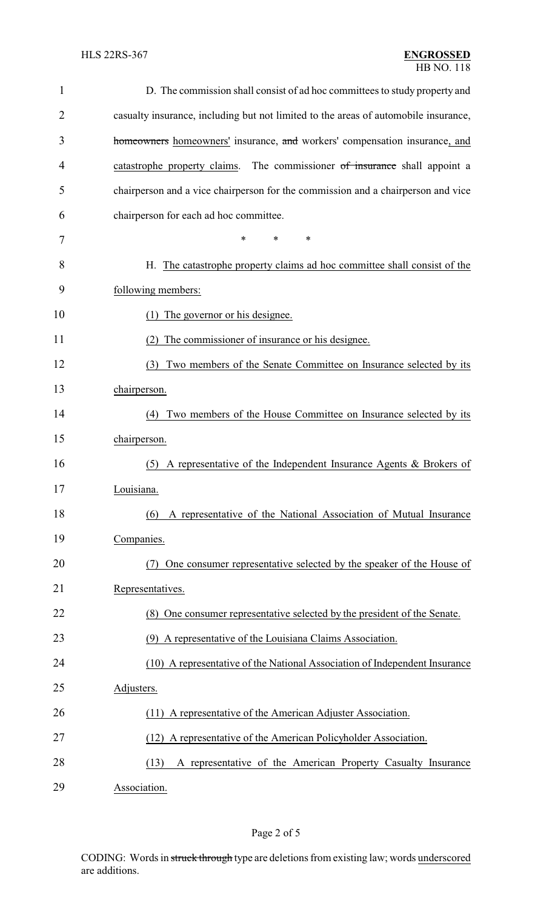| 1              | D. The commission shall consist of ad hoc committees to study property and          |
|----------------|-------------------------------------------------------------------------------------|
| $\overline{2}$ | casualty insurance, including but not limited to the areas of automobile insurance, |
| 3              | homeowners homeowners' insurance, and workers' compensation insurance, and          |
| 4              | The commissioner of insurance shall appoint a<br>catastrophe property claims.       |
| 5              | chairperson and a vice chairperson for the commission and a chairperson and vice    |
| 6              | chairperson for each ad hoc committee.                                              |
| 7              | *<br>*<br>∗                                                                         |
| 8              | H. The catastrophe property claims ad hoc committee shall consist of the            |
| 9              | following members:                                                                  |
| 10             | (1) The governor or his designee.                                                   |
| 11             | The commissioner of insurance or his designee.<br>(2)                               |
| 12             | Two members of the Senate Committee on Insurance selected by its<br>(3)             |
| 13             | chairperson.                                                                        |
| 14             | Two members of the House Committee on Insurance selected by its<br>(4)              |
| 15             | chairperson.                                                                        |
| 16             | A representative of the Independent Insurance Agents & Brokers of<br>(5)            |
| 17             | Louisiana.                                                                          |
| 18             | A representative of the National Association of Mutual Insurance<br>(6)             |
| 19             | Companies.                                                                          |
| 20             | One consumer representative selected by the speaker of the House of<br>(7)          |
| 21             | Representatives.                                                                    |
| 22             | (8) One consumer representative selected by the president of the Senate.            |
| 23             | (9) A representative of the Louisiana Claims Association.                           |
| 24             | (10) A representative of the National Association of Independent Insurance          |
| 25             | Adjusters.                                                                          |
| 26             | (11) A representative of the American Adjuster Association.                         |
| 27             | (12) A representative of the American Policyholder Association.                     |
| 28             | A representative of the American Property Casualty Insurance<br>(13)                |
| 29             | Association.                                                                        |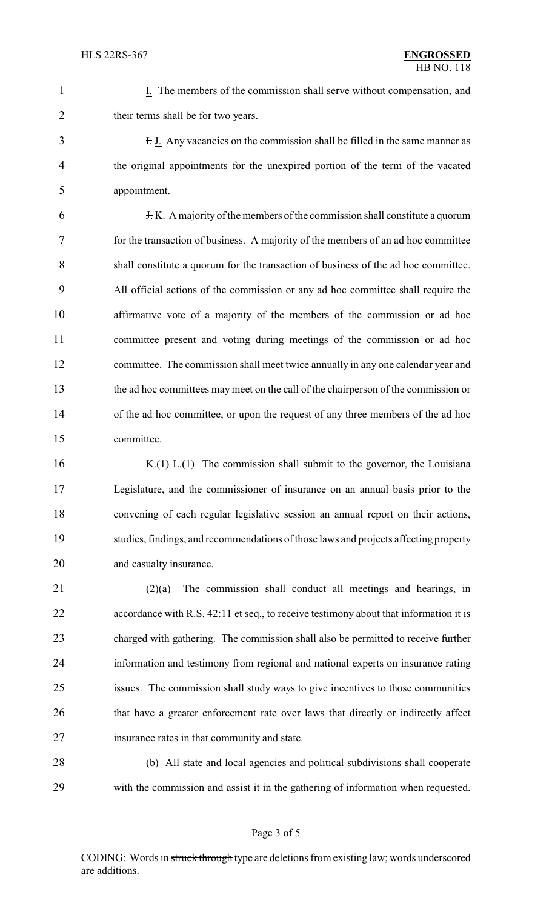1 I. The members of the commission shall serve without compensation, and 2 their terms shall be for two years.

3 I. J. Any vacancies on the commission shall be filled in the same manner as the original appointments for the unexpired portion of the term of the vacated appointment.

 J. K. A majority of the members of the commission shall constitute a quorum for the transaction of business. A majority of the members of an ad hoc committee shall constitute a quorum for the transaction of business of the ad hoc committee. All official actions of the commission or any ad hoc committee shall require the affirmative vote of a majority of the members of the commission or ad hoc committee present and voting during meetings of the commission or ad hoc committee. The commission shall meet twice annually in any one calendar year and the ad hoc committees may meet on the call of the chairperson of the commission or of the ad hoc committee, or upon the request of any three members of the ad hoc committee.

16 K.( $\leftrightarrow$  K.( $\leftrightarrow$  L.(1) The commission shall submit to the governor, the Louisiana Legislature, and the commissioner of insurance on an annual basis prior to the convening of each regular legislative session an annual report on their actions, studies, findings, and recommendations of those laws and projects affecting property and casualty insurance.

 (2)(a) The commission shall conduct all meetings and hearings, in 22 accordance with R.S. 42:11 et seq., to receive testimony about that information it is charged with gathering. The commission shall also be permitted to receive further information and testimony from regional and national experts on insurance rating issues. The commission shall study ways to give incentives to those communities that have a greater enforcement rate over laws that directly or indirectly affect insurance rates in that community and state.

 (b) All state and local agencies and political subdivisions shall cooperate with the commission and assist it in the gathering of information when requested.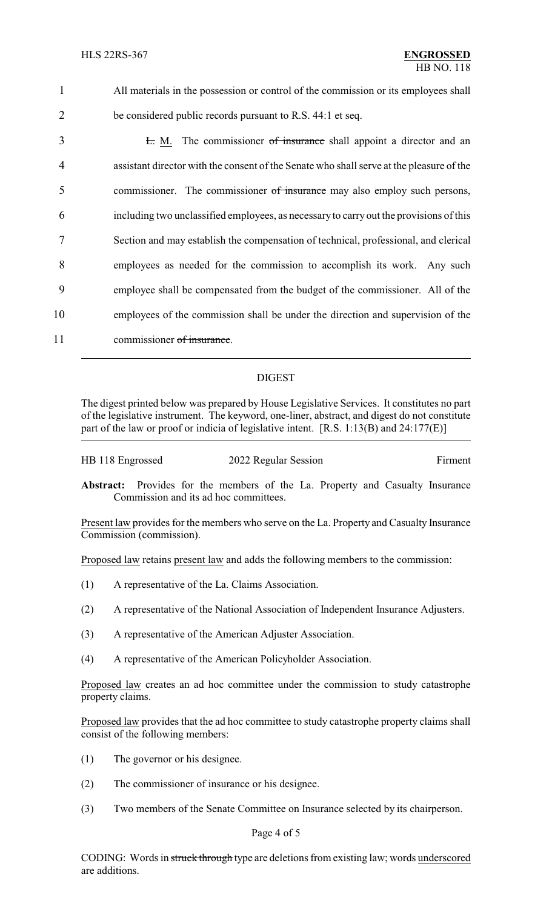All materials in the possession or control of the commission or its employees shall be considered public records pursuant to R.S. 44:1 et seq. 3 L. M. The commissioner of insurance shall appoint a director and an assistant director with the consent of the Senate who shall serve at the pleasure of the 5 commissioner. The commissioner of insurance may also employ such persons, including two unclassified employees, as necessaryto carry out the provisions of this Section and may establish the compensation of technical, professional, and clerical employees as needed for the commission to accomplish its work. Any such employee shall be compensated from the budget of the commissioner. All of the employees of the commission shall be under the direction and supervision of the 11 commissioner of insurance.

## DIGEST

The digest printed below was prepared by House Legislative Services. It constitutes no part of the legislative instrument. The keyword, one-liner, abstract, and digest do not constitute part of the law or proof or indicia of legislative intent. [R.S. 1:13(B) and 24:177(E)]

| HB 118 Engrossed | 2022 Regular Session | Firment |
|------------------|----------------------|---------|
|                  |                      |         |

**Abstract:** Provides for the members of the La. Property and Casualty Insurance Commission and its ad hoc committees.

Present law provides for the members who serve on the La. Property and Casualty Insurance Commission (commission).

Proposed law retains present law and adds the following members to the commission:

- (1) A representative of the La. Claims Association.
- (2) A representative of the National Association of Independent Insurance Adjusters.
- (3) A representative of the American Adjuster Association.
- (4) A representative of the American Policyholder Association.

Proposed law creates an ad hoc committee under the commission to study catastrophe property claims.

Proposed law provides that the ad hoc committee to study catastrophe property claims shall consist of the following members:

- (1) The governor or his designee.
- (2) The commissioner of insurance or his designee.
- (3) Two members of the Senate Committee on Insurance selected by its chairperson.

## Page 4 of 5

CODING: Words in struck through type are deletions from existing law; words underscored are additions.